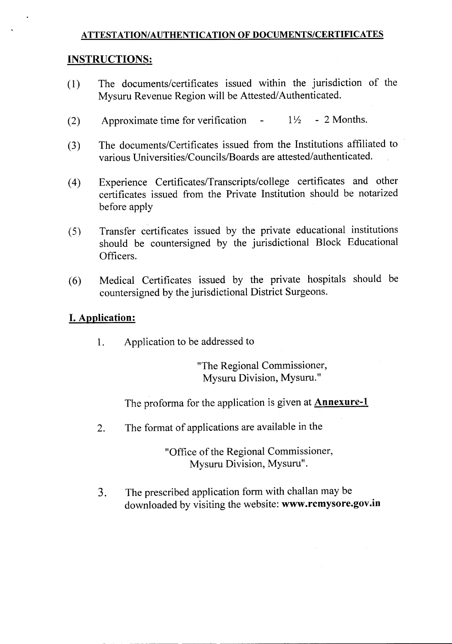#### **ATTESTATION/AUTHENTICATION OF DOCUMENTS/CERTIFICATES**

#### **INSTRUCTIONS:**

- (l) The documents/certificates issued within the jurisdiction of the Mysuru Revenue Region will be Attested/Authenticated.
- (2) Approximate time for verification  $-1\frac{1}{2}$  2 Months.
- (3) The documents/Certificates issued from the Institutions affiliated to various Universities/Councils/Boards are attested/authenticated.
- (4) Experience Certificates/Transcripts/college certificates and other certificates issued from the Private Institution should be notarized before apply
- (5) Transfer certificates issued by the private educational institutions should be countersigned by the jurisdictional Block Educational Officers.
- (6) Medical Certificates issued by the private hospitals should be countersigned by the jurisdictional District Surgeons.

#### **I.Application:**

1. Application to be addressed to

"The Regional Commissioner, Mysuru Division, Mysuru."

The proforma for the application is given at **Annexure-l**

2. The format of applications are available in the

"Office of the Regional Commissioner, Mysuru Division, Mysuru".

3. The prescribed application form with challan may be downloaded by visiting the website: **www.rcmysore.gov.in**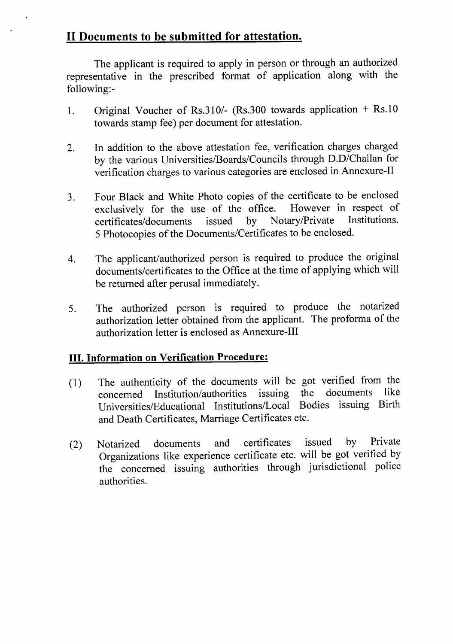### **II Documents to be submitted for attestation.**

The applicant is required to apply in person or through an authorized representative in the prescribed format of application along with the following:-

- 1. Original Voucher of Rs.310/- (Rs.300 towards application + Rs.I0 towards stamp fee) per document for attestation.
- 2. In addition to the above attestation fee, verification charges charged by the various Universities/Boards/Councils through D.D/Challan for verification charges to various categories are enclosed in Annexure-II
- 3. Four Black and White Photo copies of the certificate to be enclosed exclusively for the use of the office. However in respect of certificates/documents issued by Notary/Private Institutions. certificates/documents issued by Notary/Private 5 Photocopies of the Documents/Certificates to be enclosed.
- 4. The applicant/authorized person is required to produce the original documents/certificates to the Office at the time of applying which will be returned after perusal immediately.
- 5. The authorized person is required to produce the notarized authorization letter obtained from the applicant. The proforma of the authorization letter is enclosed as Annexure-III

#### **III. Information on Verification Procedure:**

- (1) The authenticity of the documents will be got verified from the concerned Institution/authorities issuing the documents like concerned Institution/authorities issuing the documents Universities/Educational Institutions/Local Bodies issuing Birth and Death Certificates, Marriage Certificates etc.
- (2) Notarized documents and certificates issued by Private Organizations like experience certificate etc. will be got verified by the concerned issuing authorities through jurisdictional police authorities.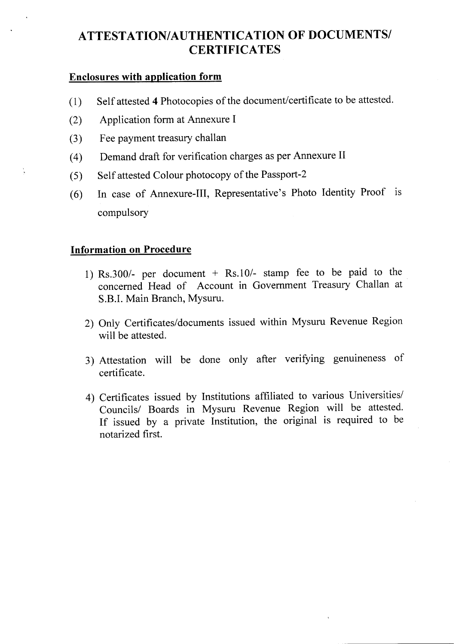## **ATTESTATION/AUTHENTICATION OF DOCUMENTS/ CERTIFICATES**

#### **Enclosures with application form**

- (1) Self attested 4 Photocopies of the document/certificate to be attested.
- (2) Application form at Annexure I
- (3) Fee payment treasury challan
- (4) Demand draft for verification charges as per Annexure II
- (5) Self attested Colour photocopy of the Passport-2
- (6) In case of Annexure-III, Representative's Photo Identity Proof is compulsory

#### **Information on Procedure**

- 1) Rs.300/- per document + Rs.10/- stamp fee to be paid to the concerned Head of Account in Government Treasury Challan at S.B.1.Main Branch, Mysuru.
- 2) Only Certificates/documents issued within Mysuru Revenue Region will be attested.
- 3) Attestation will be done only after verifying genumeness of certificate.
- 4) Certificates issued by Institutions affiliated to various Universities/ Councils/ Boards in Mysuru Revenue Region will be attested. If issued by a private Institution, the original is required to be notarized first.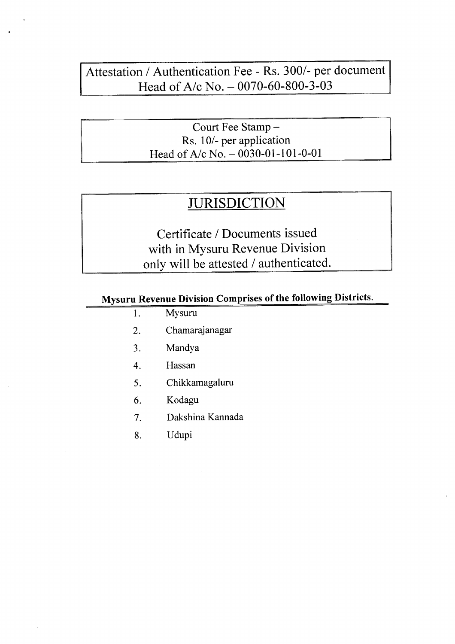## Attestation / Authentication Fee - Rs. 300/- per document Head of A/c No. - 0070-60-800-3-03

Court Fee Stamp-Rs. *101-* per application Head of *A*/c No. - 0030-01-101-0-01

# **JURISDICTION**

Certificate / Documents issued with in Mysuru Revenue Division only will be attested / authenticated.

## Mysuru Revenue Division Comprises of the following Districts.

- 1. Mysuru
- 2. Chamarajanagar
- 3. Mandya
- 4. Hassan
- 5. Chikkamagaluru
- 6. Kodagu
- 7. Dakshina Kannada
- 8. Udupi